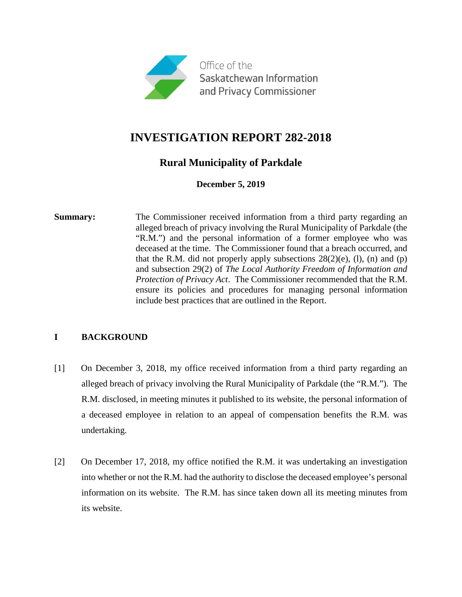

# **INVESTIGATION REPORT 282-2018**

### **Rural Municipality of Parkdale**

**December 5, 2019**

**Summary:** The Commissioner received information from a third party regarding an alleged breach of privacy involving the Rural Municipality of Parkdale (the "R.M.") and the personal information of a former employee who was deceased at the time. The Commissioner found that a breach occurred, and that the R.M. did not properly apply subsections  $28(2)(e)$ , (1), (n) and (p) and subsection 29(2) of *The Local Authority Freedom of Information and Protection of Privacy Act*. The Commissioner recommended that the R.M. ensure its policies and procedures for managing personal information include best practices that are outlined in the Report.

### **I BACKGROUND**

- [1] On December 3, 2018, my office received information from a third party regarding an alleged breach of privacy involving the Rural Municipality of Parkdale (the "R.M."). The R.M. disclosed, in meeting minutes it published to its website, the personal information of a deceased employee in relation to an appeal of compensation benefits the R.M. was undertaking.
- [2] On December 17, 2018, my office notified the R.M. it was undertaking an investigation into whether or not the R.M. had the authority to disclose the deceased employee's personal information on its website. The R.M. has since taken down all its meeting minutes from its website.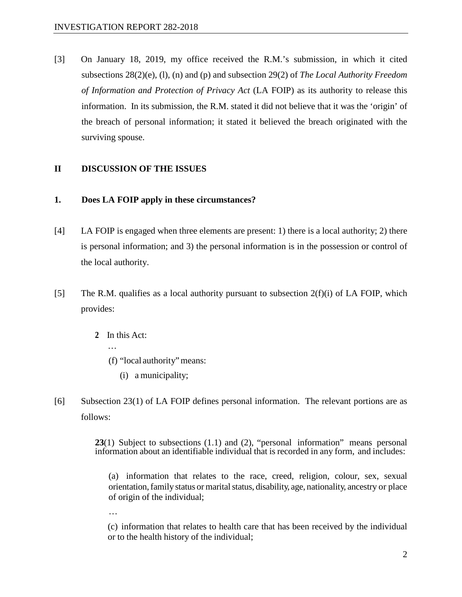[3] On January 18, 2019, my office received the R.M.'s submission, in which it cited subsections 28(2)(e), (l), (n) and (p) and subsection 29(2) of *The Local Authority Freedom of Information and Protection of Privacy Act* (LA FOIP) as its authority to release this information. In its submission, the R.M. stated it did not believe that it was the 'origin' of the breach of personal information; it stated it believed the breach originated with the surviving spouse.

#### **II DISCUSSION OF THE ISSUES**

#### **1. Does LA FOIP apply in these circumstances?**

- [4] LA FOIP is engaged when three elements are present: 1) there is a local authority; 2) there is personal information; and 3) the personal information is in the possession or control of the local authority.
- [5] The R.M. qualifies as a local authority pursuant to subsection  $2(f)(i)$  of LA FOIP, which provides:
	- **2** In this Act:
		- …
		- (f) "local authority"means:
			- (i) a municipality;
- [6] Subsection 23(1) of LA FOIP defines personal information. The relevant portions are as follows:

**23**(1) Subject to subsections (1.1) and (2), "personal information" means personal information about an identifiable individual that is recorded in any form, and includes:

(a) information that relates to the race, creed, religion, colour, sex, sexual orientation, family status or marital status, disability, age, nationality, ancestry or place of origin of the individual;

…

(c) information that relates to health care that has been received by the individual or to the health history of the individual;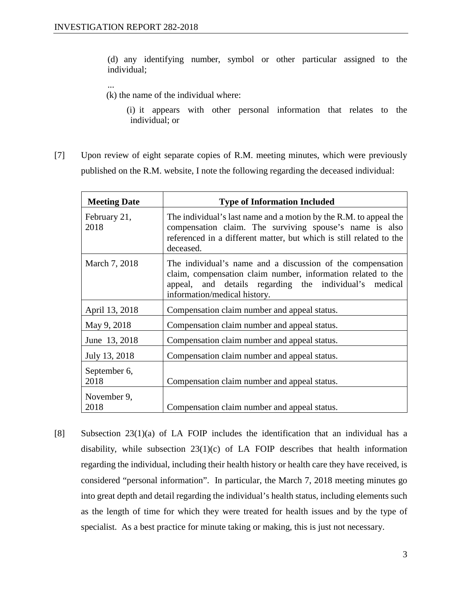...

(d) any identifying number, symbol or other particular assigned to the individual;

(k) the name of the individual where:

 (i) it appears with other personal information that relates to the individual; or

[7] Upon review of eight separate copies of R.M. meeting minutes, which were previously published on the R.M. website, I note the following regarding the deceased individual:

| <b>Meeting Date</b>  | <b>Type of Information Included</b>                                                                                                                                                                                  |
|----------------------|----------------------------------------------------------------------------------------------------------------------------------------------------------------------------------------------------------------------|
| February 21,<br>2018 | The individual's last name and a motion by the R.M. to appeal the<br>compensation claim. The surviving spouse's name is also<br>referenced in a different matter, but which is still related to the<br>deceased.     |
| March 7, 2018        | The individual's name and a discussion of the compensation<br>claim, compensation claim number, information related to the<br>appeal, and details regarding the individual's medical<br>information/medical history. |
| April 13, 2018       | Compensation claim number and appeal status.                                                                                                                                                                         |
| May 9, 2018          | Compensation claim number and appeal status.                                                                                                                                                                         |
| June 13, 2018        | Compensation claim number and appeal status.                                                                                                                                                                         |
| July 13, 2018        | Compensation claim number and appeal status.                                                                                                                                                                         |
| September 6,<br>2018 | Compensation claim number and appeal status.                                                                                                                                                                         |
| November 9,<br>2018  | Compensation claim number and appeal status.                                                                                                                                                                         |

[8] Subsection 23(1)(a) of LA FOIP includes the identification that an individual has a disability, while subsection 23(1)(c) of LA FOIP describes that health information regarding the individual, including their health history or health care they have received, is considered "personal information". In particular, the March 7, 2018 meeting minutes go into great depth and detail regarding the individual's health status, including elements such as the length of time for which they were treated for health issues and by the type of specialist. As a best practice for minute taking or making, this is just not necessary.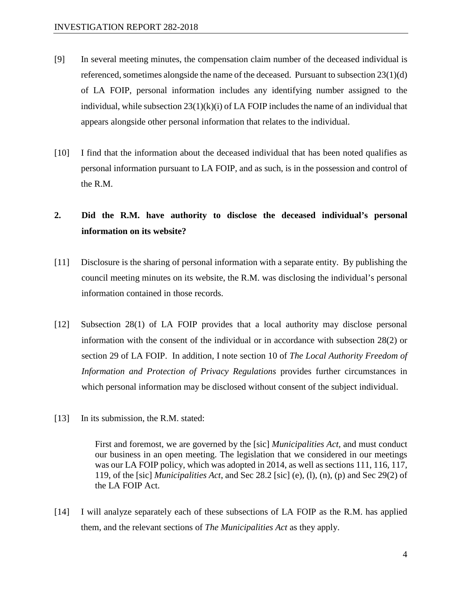- [9] In several meeting minutes, the compensation claim number of the deceased individual is referenced, sometimes alongside the name of the deceased. Pursuant to subsection 23(1)(d) of LA FOIP, personal information includes any identifying number assigned to the individual, while subsection  $23(1)(k)(i)$  of LA FOIP includes the name of an individual that appears alongside other personal information that relates to the individual.
- [10] I find that the information about the deceased individual that has been noted qualifies as personal information pursuant to LA FOIP, and as such, is in the possession and control of the R.M.

## **2. Did the R.M. have authority to disclose the deceased individual's personal information on its website?**

- [11] Disclosure is the sharing of personal information with a separate entity. By publishing the council meeting minutes on its website, the R.M. was disclosing the individual's personal information contained in those records.
- [12] Subsection 28(1) of LA FOIP provides that a local authority may disclose personal information with the consent of the individual or in accordance with subsection 28(2) or section 29 of LA FOIP. In addition, I note section 10 of *The Local Authority Freedom of Information and Protection of Privacy Regulations* provides further circumstances in which personal information may be disclosed without consent of the subject individual.
- [13] In its submission, the R.M. stated:

First and foremost, we are governed by the [sic] *Municipalities Act,* and must conduct our business in an open meeting. The legislation that we considered in our meetings was our LA FOIP policy, which was adopted in 2014, as well as sections 111, 116, 117, 119, of the [sic] *Municipalities Act*, and Sec 28.2 [sic] (e), (l), (n), (p) and Sec 29(2) of the LA FOIP Act.

[14] I will analyze separately each of these subsections of LA FOIP as the R.M. has applied them, and the relevant sections of *The Municipalities Act* as they apply.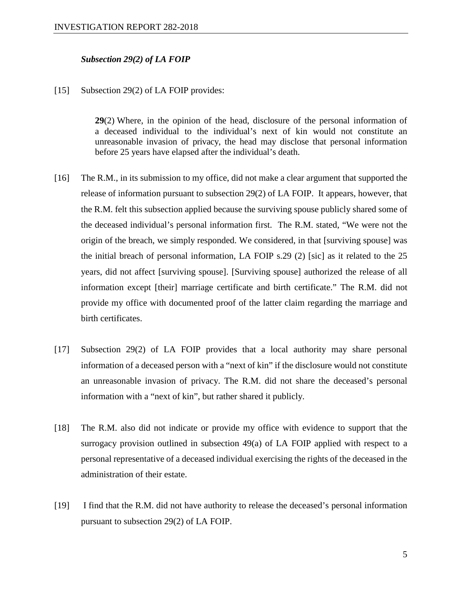#### *Subsection 29(2) of LA FOIP*

#### [15] Subsection 29(2) of LA FOIP provides:

**29**(2) Where, in the opinion of the head, disclosure of the personal information of a deceased individual to the individual's next of kin would not constitute an unreasonable invasion of privacy, the head may disclose that personal information before 25 years have elapsed after the individual's death.

- [16] The R.M., in its submission to my office, did not make a clear argument that supported the release of information pursuant to subsection 29(2) of LA FOIP. It appears, however, that the R.M. felt this subsection applied because the surviving spouse publicly shared some of the deceased individual's personal information first. The R.M. stated, "We were not the origin of the breach, we simply responded. We considered, in that [surviving spouse] was the initial breach of personal information, LA FOIP s.29 (2) [sic] as it related to the 25 years, did not affect [surviving spouse]. [Surviving spouse] authorized the release of all information except [their] marriage certificate and birth certificate." The R.M. did not provide my office with documented proof of the latter claim regarding the marriage and birth certificates.
- [17] Subsection 29(2) of LA FOIP provides that a local authority may share personal information of a deceased person with a "next of kin" if the disclosure would not constitute an unreasonable invasion of privacy. The R.M. did not share the deceased's personal information with a "next of kin", but rather shared it publicly.
- [18] The R.M. also did not indicate or provide my office with evidence to support that the surrogacy provision outlined in subsection 49(a) of LA FOIP applied with respect to a personal representative of a deceased individual exercising the rights of the deceased in the administration of their estate.
- [19] I find that the R.M. did not have authority to release the deceased's personal information pursuant to subsection 29(2) of LA FOIP.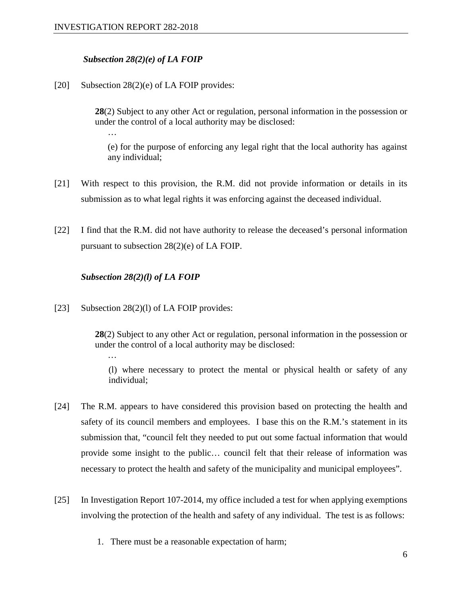…

#### *Subsection 28(2)(e) of LA FOIP*

[20] Subsection 28(2)(e) of LA FOIP provides:

**28**(2) Subject to any other Act or regulation, personal information in the possession or under the control of a local authority may be disclosed:

(e) for the purpose of enforcing any legal right that the local authority has against any individual;

- [21] With respect to this provision, the R.M. did not provide information or details in its submission as to what legal rights it was enforcing against the deceased individual.
- [22] I find that the R.M. did not have authority to release the deceased's personal information pursuant to subsection 28(2)(e) of LA FOIP.

#### *Subsection 28(2)(l) of LA FOIP*

[23] Subsection 28(2)(1) of LA FOIP provides:

…

**28**(2) Subject to any other Act or regulation, personal information in the possession or under the control of a local authority may be disclosed:

(l) where necessary to protect the mental or physical health or safety of any individual;

- [24] The R.M. appears to have considered this provision based on protecting the health and safety of its council members and employees. I base this on the R.M.'s statement in its submission that, "council felt they needed to put out some factual information that would provide some insight to the public… council felt that their release of information was necessary to protect the health and safety of the municipality and municipal employees".
- [25] In Investigation Report 107-2014, my office included a test for when applying exemptions involving the protection of the health and safety of any individual. The test is as follows:
	- 1. There must be a reasonable expectation of harm;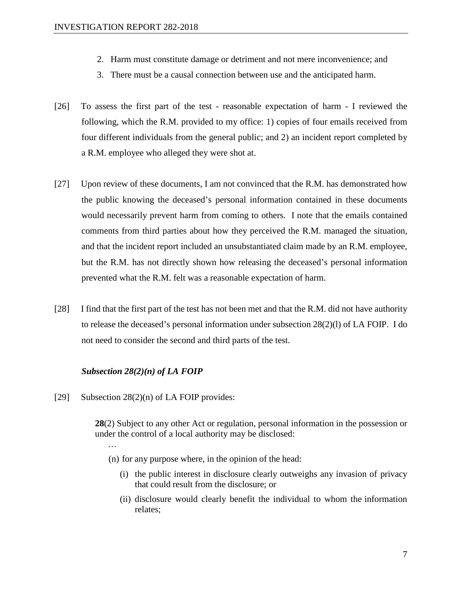- 2. Harm must constitute damage or detriment and not mere inconvenience; and
- 3. There must be a causal connection between use and the anticipated harm.
- [26] To assess the first part of the test reasonable expectation of harm I reviewed the following, which the R.M. provided to my office: 1) copies of four emails received from four different individuals from the general public; and 2) an incident report completed by a R.M. employee who alleged they were shot at.
- [27] Upon review of these documents, I am not convinced that the R.M. has demonstrated how the public knowing the deceased's personal information contained in these documents would necessarily prevent harm from coming to others. I note that the emails contained comments from third parties about how they perceived the R.M. managed the situation, and that the incident report included an unsubstantiated claim made by an R.M. employee, but the R.M. has not directly shown how releasing the deceased's personal information prevented what the R.M. felt was a reasonable expectation of harm.
- [28] I find that the first part of the test has not been met and that the R.M. did not have authority to release the deceased's personal information under subsection 28(2)(l) of LA FOIP. I do not need to consider the second and third parts of the test.

#### *Subsection 28(2)(n) of LA FOIP*

[29] Subsection 28(2)(n) of LA FOIP provides:

…

**28**(2) Subject to any other Act or regulation, personal information in the possession or under the control of a local authority may be disclosed:

- (n) for any purpose where, in the opinion of the head:
	- (i) the public interest in disclosure clearly outweighs any invasion of privacy that could result from the disclosure; or
	- (ii) disclosure would clearly benefit the individual to whom the information relates;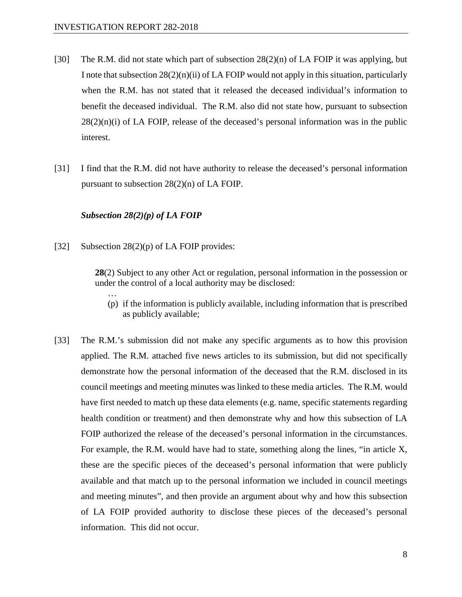- [30] The R.M. did not state which part of subsection  $28(2)(n)$  of LA FOIP it was applying, but I note that subsection  $28(2)(n)(ii)$  of LA FOIP would not apply in this situation, particularly when the R.M. has not stated that it released the deceased individual's information to benefit the deceased individual. The R.M. also did not state how, pursuant to subsection  $28(2)(n)(i)$  of LA FOIP, release of the deceased's personal information was in the public interest.
- [31] I find that the R.M. did not have authority to release the deceased's personal information pursuant to subsection 28(2)(n) of LA FOIP.

#### *Subsection 28(2)(p) of LA FOIP*

[32] Subsection 28(2)(p) of LA FOIP provides:

…

**28**(2) Subject to any other Act or regulation, personal information in the possession or under the control of a local authority may be disclosed:

- (p) if the information is publicly available, including information that is prescribed as publicly available;
- [33] The R.M.'s submission did not make any specific arguments as to how this provision applied. The R.M. attached five news articles to its submission, but did not specifically demonstrate how the personal information of the deceased that the R.M. disclosed in its council meetings and meeting minutes was linked to these media articles. The R.M. would have first needed to match up these data elements (e.g. name, specific statements regarding health condition or treatment) and then demonstrate why and how this subsection of LA FOIP authorized the release of the deceased's personal information in the circumstances. For example, the R.M. would have had to state, something along the lines, "in article X, these are the specific pieces of the deceased's personal information that were publicly available and that match up to the personal information we included in council meetings and meeting minutes", and then provide an argument about why and how this subsection of LA FOIP provided authority to disclose these pieces of the deceased's personal information. This did not occur.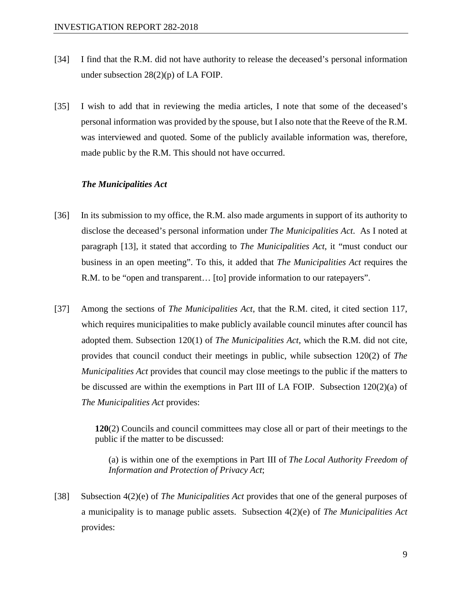- [34] I find that the R.M. did not have authority to release the deceased's personal information under subsection 28(2)(p) of LA FOIP.
- [35] I wish to add that in reviewing the media articles, I note that some of the deceased's personal information was provided by the spouse, but I also note that the Reeve of the R.M. was interviewed and quoted. Some of the publicly available information was, therefore, made public by the R.M. This should not have occurred.

#### *The Municipalities Act*

- [36] In its submission to my office, the R.M. also made arguments in support of its authority to disclose the deceased's personal information under *The Municipalities Act*. As I noted at paragraph [13], it stated that according to *The Municipalities Act*, it "must conduct our business in an open meeting". To this, it added that *The Municipalities Act* requires the R.M. to be "open and transparent… [to] provide information to our ratepayers".
- [37] Among the sections of *The Municipalities Act*, that the R.M. cited, it cited section 117, which requires municipalities to make publicly available council minutes after council has adopted them. Subsection 120(1) of *The Municipalities Act*, which the R.M. did not cite, provides that council conduct their meetings in public, while subsection 120(2) of *The Municipalities Act* provides that council may close meetings to the public if the matters to be discussed are within the exemptions in Part III of LA FOIP. Subsection 120(2)(a) of *The Municipalities Act* provides:

**120**(2) Councils and council committees may close all or part of their meetings to the public if the matter to be discussed:

(a) is within one of the exemptions in Part III of *The [Local Authority Freedom of](https://www.canlii.org/en/sk/laws/stat/ss-1990-91-c-l-27.1/latest/ss-1990-91-c-l-27.1.html)  [Information and Protection of Privacy Act](https://www.canlii.org/en/sk/laws/stat/ss-1990-91-c-l-27.1/latest/ss-1990-91-c-l-27.1.html)*;

[38] Subsection 4(2)(e) of *The Municipalities Act* provides that one of the general purposes of a municipality is to manage public assets. Subsection 4(2)(e) of *The Municipalities Act* provides: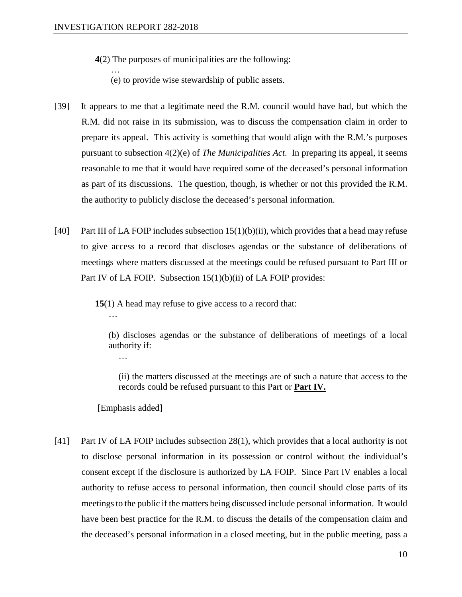…

**4**(2) The purposes of municipalities are the following:

(e) to provide wise stewardship of public assets.

- [39] It appears to me that a legitimate need the R.M. council would have had, but which the R.M. did not raise in its submission, was to discuss the compensation claim in order to prepare its appeal. This activity is something that would align with the R.M.'s purposes pursuant to subsection 4(2)(e) of *The Municipalities Act*. In preparing its appeal, it seems reasonable to me that it would have required some of the deceased's personal information as part of its discussions. The question, though, is whether or not this provided the R.M. the authority to publicly disclose the deceased's personal information.
- [40] Part III of LA FOIP includes subsection  $15(1)(b)(ii)$ , which provides that a head may refuse to give access to a record that discloses agendas or the substance of deliberations of meetings where matters discussed at the meetings could be refused pursuant to Part III or Part IV of LA FOIP. Subsection 15(1)(b)(ii) of LA FOIP provides:

**15**(1) A head may refuse to give access to a record that:

(b) discloses agendas or the substance of deliberations of meetings of a local authority if:

(ii) the matters discussed at the meetings are of such a nature that access to the records could be refused pursuant to this Part or **Part IV.**

[Emphasis added]

…

…

[41] Part IV of LA FOIP includes subsection 28(1), which provides that a local authority is not to disclose personal information in its possession or control without the individual's consent except if the disclosure is authorized by LA FOIP. Since Part IV enables a local authority to refuse access to personal information, then council should close parts of its meetings to the public if the matters being discussed include personal information. It would have been best practice for the R.M. to discuss the details of the compensation claim and the deceased's personal information in a closed meeting, but in the public meeting, pass a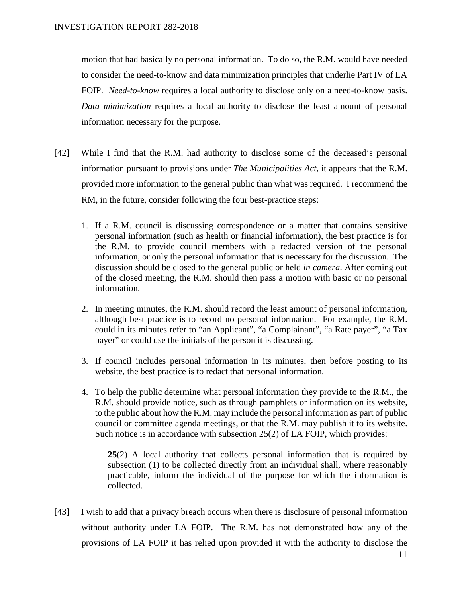motion that had basically no personal information. To do so, the R.M. would have needed to consider the need-to-know and data minimization principles that underlie Part IV of LA FOIP. *Need-to-know* requires a local authority to disclose only on a need-to-know basis. *Data minimization* requires a local authority to disclose the least amount of personal information necessary for the purpose.

- [42] While I find that the R.M. had authority to disclose some of the deceased's personal information pursuant to provisions under *The Municipalities Act*, it appears that the R.M. provided more information to the general public than what was required. I recommend the RM, in the future, consider following the four best-practice steps:
	- 1. If a R.M. council is discussing correspondence or a matter that contains sensitive personal information (such as health or financial information), the best practice is for the R.M. to provide council members with a redacted version of the personal information, or only the personal information that is necessary for the discussion. The discussion should be closed to the general public or held *in camera*. After coming out of the closed meeting, the R.M. should then pass a motion with basic or no personal information.
	- 2. In meeting minutes, the R.M. should record the least amount of personal information, although best practice is to record no personal information. For example, the R.M. could in its minutes refer to "an Applicant", "a Complainant", "a Rate payer", "a Tax payer" or could use the initials of the person it is discussing.
	- 3. If council includes personal information in its minutes, then before posting to its website, the best practice is to redact that personal information.
	- 4. To help the public determine what personal information they provide to the R.M., the R.M. should provide notice, such as through pamphlets or information on its website, to the public about how the R.M. may include the personal information as part of public council or committee agenda meetings, or that the R.M. may publish it to its website. Such notice is in accordance with subsection 25(2) of LA FOIP, which provides:

**25**(2) A local authority that collects personal information that is required by subsection (1) to be collected directly from an individual shall, where reasonably practicable, inform the individual of the purpose for which the information is collected.

[43] I wish to add that a privacy breach occurs when there is disclosure of personal information without authority under LA FOIP. The R.M. has not demonstrated how any of the provisions of LA FOIP it has relied upon provided it with the authority to disclose the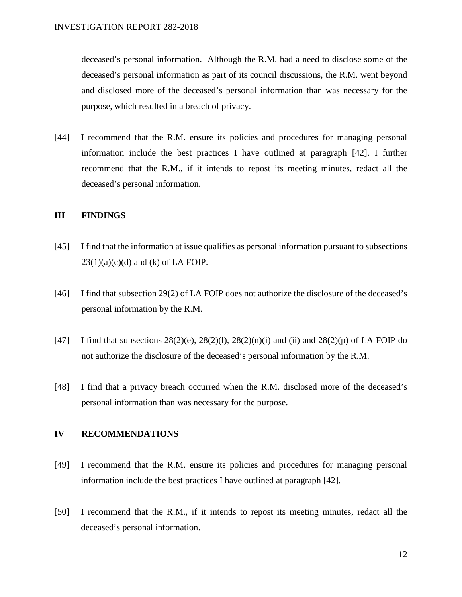deceased's personal information. Although the R.M. had a need to disclose some of the deceased's personal information as part of its council discussions, the R.M. went beyond and disclosed more of the deceased's personal information than was necessary for the purpose, which resulted in a breach of privacy.

[44] I recommend that the R.M. ensure its policies and procedures for managing personal information include the best practices I have outlined at paragraph [42]. I further recommend that the R.M., if it intends to repost its meeting minutes, redact all the deceased's personal information.

#### **III FINDINGS**

- [45] I find that the information at issue qualifies as personal information pursuant to subsections  $23(1)(a)(c)(d)$  and (k) of LA FOIP.
- [46] I find that subsection 29(2) of LA FOIP does not authorize the disclosure of the deceased's personal information by the R.M.
- [47] I find that subsections  $28(2)(e)$ ,  $28(2)(1)$ ,  $28(2)(n)(i)$  and (ii) and  $28(2)(p)$  of LA FOIP do not authorize the disclosure of the deceased's personal information by the R.M.
- [48] I find that a privacy breach occurred when the R.M. disclosed more of the deceased's personal information than was necessary for the purpose.

#### **IV RECOMMENDATIONS**

- [49] I recommend that the R.M. ensure its policies and procedures for managing personal information include the best practices I have outlined at paragraph [42].
- [50] I recommend that the R.M., if it intends to repost its meeting minutes, redact all the deceased's personal information.